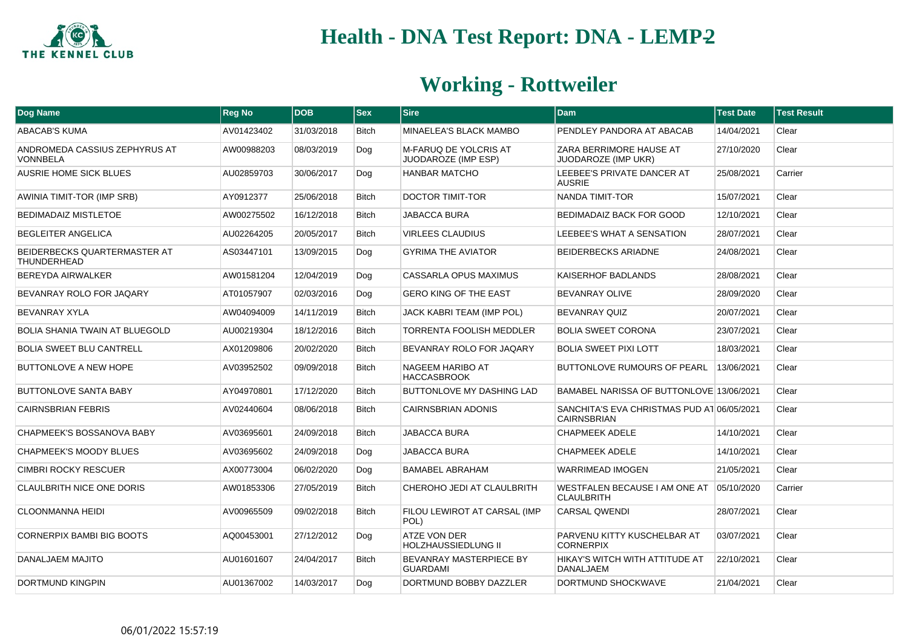

| <b>Dog Name</b>                                    | <b>Reg No</b> | <b>DOB</b> | <b>Sex</b>   | <b>Sire</b>                                       | Dam                                                              | <b>Test Date</b> | <b>Test Result</b> |
|----------------------------------------------------|---------------|------------|--------------|---------------------------------------------------|------------------------------------------------------------------|------------------|--------------------|
| ABACAB'S KUMA                                      | AV01423402    | 31/03/2018 | <b>Bitch</b> | MINAELEA'S BLACK MAMBO                            | PENDLEY PANDORA AT ABACAB                                        | 14/04/2021       | Clear              |
| ANDROMEDA CASSIUS ZEPHYRUS AT<br><b>VONNBELA</b>   | AW00988203    | 08/03/2019 | Dog          | M-FARUQ DE YOLCRIS AT<br>JUODAROZE (IMP ESP)      | ZARA BERRIMORE HAUSE AT<br>JUODAROZE (IMP UKR)                   | 27/10/2020       | Clear              |
| <b>AUSRIE HOME SICK BLUES</b>                      | AU02859703    | 30/06/2017 | Dog          | HANBAR MATCHO                                     | LEEBEE'S PRIVATE DANCER AT<br><b>AUSRIE</b>                      | 25/08/2021       | Carrier            |
| AWINIA TIMIT-TOR (IMP SRB)                         | AY0912377     | 25/06/2018 | <b>Bitch</b> | <b>DOCTOR TIMIT-TOR</b>                           | NANDA TIMIT-TOR                                                  | 15/07/2021       | Clear              |
| <b>BEDIMADAIZ MISTLETOE</b>                        | AW00275502    | 16/12/2018 | <b>Bitch</b> | <b>JABACCA BURA</b>                               | BEDIMADAIZ BACK FOR GOOD                                         | 12/10/2021       | Clear              |
| <b>BEGLEITER ANGELICA</b>                          | AU02264205    | 20/05/2017 | <b>Bitch</b> | <b>VIRLEES CLAUDIUS</b>                           | LEEBEE'S WHAT A SENSATION                                        | 28/07/2021       | Clear              |
| BEIDERBECKS QUARTERMASTER AT<br><b>THUNDERHEAD</b> | AS03447101    | 13/09/2015 | Dog          | <b>GYRIMA THE AVIATOR</b>                         | <b>BEIDERBECKS ARIADNE</b>                                       | 24/08/2021       | Clear              |
| <b>BEREYDA AIRWALKER</b>                           | AW01581204    | 12/04/2019 | Dog          | CASSARLA OPUS MAXIMUS                             | KAISERHOF BADLANDS                                               | 28/08/2021       | Clear              |
| BEVANRAY ROLO FOR JAQARY                           | AT01057907    | 02/03/2016 | Dog          | <b>GERO KING OF THE EAST</b>                      | BEVANRAY OLIVE                                                   | 28/09/2020       | Clear              |
| <b>BEVANRAY XYLA</b>                               | AW04094009    | 14/11/2019 | <b>Bitch</b> | JACK KABRI TEAM (IMP POL)                         | BEVANRAY QUIZ                                                    | 20/07/2021       | Clear              |
| <b>BOLIA SHANIA TWAIN AT BLUEGOLD</b>              | AU00219304    | 18/12/2016 | <b>Bitch</b> | <b>TORRENTA FOOLISH MEDDLER</b>                   | <b>BOLIA SWEET CORONA</b>                                        | 23/07/2021       | Clear              |
| <b>BOLIA SWEET BLU CANTRELL</b>                    | AX01209806    | 20/02/2020 | <b>Bitch</b> | BEVANRAY ROLO FOR JAQARY                          | <b>BOLIA SWEET PIXI LOTT</b>                                     | 18/03/2021       | Clear              |
| BUTTONLOVE A NEW HOPE                              | AV03952502    | 09/09/2018 | <b>Bitch</b> | NAGEEM HARIBO AT<br><b>HACCASBROOK</b>            | BUTTONLOVE RUMOURS OF PEARL                                      | 13/06/2021       | Clear              |
| <b>BUTTONLOVE SANTA BABY</b>                       | AY04970801    | 17/12/2020 | <b>Bitch</b> | BUTTONLOVE MY DASHING LAD                         | BAMABEL NARISSA OF BUTTONLOVE 13/06/2021                         |                  | Clear              |
| <b>CAIRNSBRIAN FEBRIS</b>                          | AV02440604    | 08/06/2018 | <b>Bitch</b> | <b>CAIRNSBRIAN ADONIS</b>                         | SANCHITA'S EVA CHRISTMAS PUD AT 06/05/2021<br><b>CAIRNSBRIAN</b> |                  | Clear              |
| <b>CHAPMEEK'S BOSSANOVA BABY</b>                   | AV03695601    | 24/09/2018 | <b>Bitch</b> | JABACCA BURA                                      | <b>CHAPMEEK ADELE</b>                                            | 14/10/2021       | Clear              |
| CHAPMEEK'S MOODY BLUES                             | AV03695602    | 24/09/2018 | Dog          | JABACCA BURA                                      | <b>CHAPMEEK ADELE</b>                                            | 14/10/2021       | Clear              |
| <b>CIMBRI ROCKY RESCUER</b>                        | AX00773004    | 06/02/2020 | Dog          | <b>BAMABEL ABRAHAM</b>                            | <b>WARRIMEAD IMOGEN</b>                                          | 21/05/2021       | Clear              |
| <b>CLAULBRITH NICE ONE DORIS</b>                   | AW01853306    | 27/05/2019 | <b>Bitch</b> | CHEROHO JEDI AT CLAULBRITH                        | WESTFALEN BECAUSE I AM ONE AT<br><b>CLAULBRITH</b>               | 05/10/2020       | Carrier            |
| <b>CLOONMANNA HEIDI</b>                            | AV00965509    | 09/02/2018 | <b>Bitch</b> | FILOU LEWIROT AT CARSAL (IMP<br>POL)              | <b>CARSAL QWENDI</b>                                             | 28/07/2021       | Clear              |
| <b>CORNERPIX BAMBI BIG BOOTS</b>                   | AQ00453001    | 27/12/2012 | Dog          | <b>ATZE VON DER</b><br><b>HOLZHAUSSIEDLUNG II</b> | PARVENU KITTY KUSCHELBAR AT<br><b>CORNERPIX</b>                  | 03/07/2021       | Clear              |
| DANALJAEM MAJITO                                   | AU01601607    | 24/04/2017 | <b>Bitch</b> | <b>BEVANRAY MASTERPIECE BY</b><br><b>GUARDAMI</b> | HIKAY'S WITCH WITH ATTITUDE AT<br><b>DANALJAEM</b>               | 22/10/2021       | Clear              |
| <b>DORTMUND KINGPIN</b>                            | AU01367002    | 14/03/2017 | Dog          | DORTMUND BOBBY DAZZLER                            | DORTMUND SHOCKWAVE                                               | 21/04/2021       | Clear              |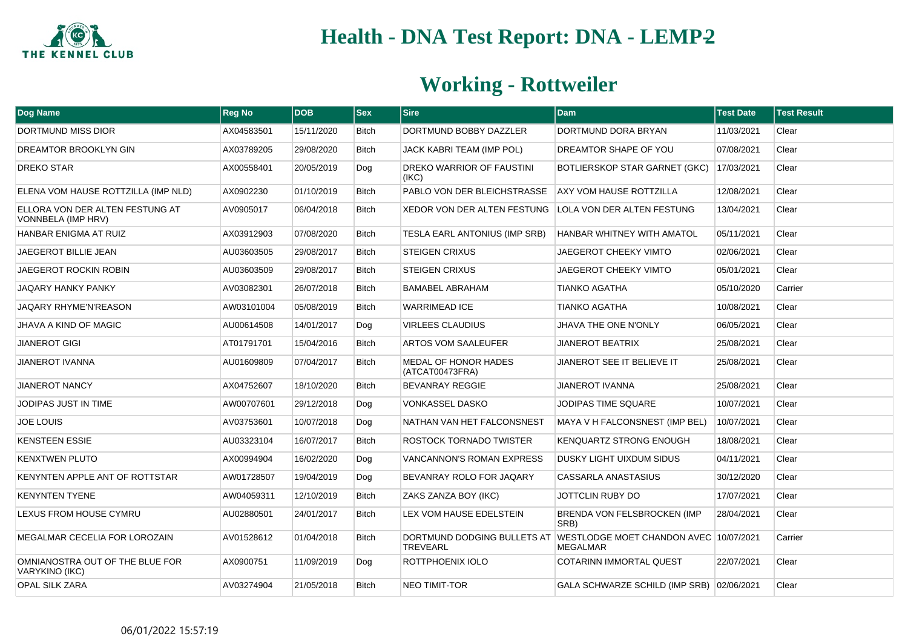

| <b>Dog Name</b>                                       | <b>Reg No</b> | <b>DOB</b> | <b>Sex</b>   | <b>Sire</b>                             | <b>Dam</b>                                                                            | <b>Test Date</b> | <b>Test Result</b> |
|-------------------------------------------------------|---------------|------------|--------------|-----------------------------------------|---------------------------------------------------------------------------------------|------------------|--------------------|
| DORTMUND MISS DIOR                                    | AX04583501    | 15/11/2020 | <b>Bitch</b> | DORTMUND BOBBY DAZZLER                  | DORTMUND DORA BRYAN                                                                   | 11/03/2021       | Clear              |
| DREAMTOR BROOKLYN GIN                                 | AX03789205    | 29/08/2020 | <b>Bitch</b> | JACK KABRI TEAM (IMP POL)               | DREAMTOR SHAPE OF YOU                                                                 | 07/08/2021       | Clear              |
| <b>DREKO STAR</b>                                     | AX00558401    | 20/05/2019 | Dog          | DREKO WARRIOR OF FAUSTINI<br>(IKC)      | BOTLIERSKOP STAR GARNET (GKC)                                                         | 17/03/2021       | Clear              |
| ELENA VOM HAUSE ROTTZILLA (IMP NLD)                   | AX0902230     | 01/10/2019 | <b>Bitch</b> | PABLO VON DER BLEICHSTRASSE             | <b>AXY VOM HAUSE ROTTZILLA</b>                                                        | 12/08/2021       | Clear              |
| ELLORA VON DER ALTEN FESTUNG AT<br>VONNBELA (IMP HRV) | AV0905017     | 06/04/2018 | <b>Bitch</b> | XEDOR VON DER ALTEN FESTUNG             | LOLA VON DER ALTEN FESTUNG                                                            | 13/04/2021       | Clear              |
| HANBAR ENIGMA AT RUIZ                                 | AX03912903    | 07/08/2020 | <b>Bitch</b> | TESLA EARL ANTONIUS (IMP SRB)           | <b>HANBAR WHITNEY WITH AMATOL</b>                                                     | 05/11/2021       | Clear              |
| <b>JAEGEROT BILLIE JEAN</b>                           | AU03603505    | 29/08/2017 | <b>Bitch</b> | <b>STEIGEN CRIXUS</b>                   | <b>JAEGEROT CHEEKY VIMTO</b>                                                          | 02/06/2021       | Clear              |
| <b>JAEGEROT ROCKIN ROBIN</b>                          | AU03603509    | 29/08/2017 | <b>Bitch</b> | <b>STEIGEN CRIXUS</b>                   | <b>JAEGEROT CHEEKY VIMTO</b>                                                          | 05/01/2021       | Clear              |
| JAQARY HANKY PANKY                                    | AV03082301    | 26/07/2018 | <b>Bitch</b> | <b>BAMABEL ABRAHAM</b>                  | <b>TIANKO AGATHA</b>                                                                  | 05/10/2020       | Carrier            |
| <b>JAQARY RHYME'N'REASON</b>                          | AW03101004    | 05/08/2019 | <b>Bitch</b> | <b>WARRIMEAD ICE</b>                    | <b>TIANKO AGATHA</b>                                                                  | 10/08/2021       | Clear              |
| <b>JHAVA A KIND OF MAGIC</b>                          | AU00614508    | 14/01/2017 | Dog          | <b>VIRLEES CLAUDIUS</b>                 | <b>JHAVA THE ONE N'ONLY</b>                                                           | 06/05/2021       | Clear              |
| <b>JIANEROT GIGI</b>                                  | AT01791701    | 15/04/2016 | <b>Bitch</b> | ARTOS VOM SAALEUFER                     | <b>JIANEROT BEATRIX</b>                                                               | 25/08/2021       | Clear              |
| <b>JIANEROT IVANNA</b>                                | AU01609809    | 07/04/2017 | <b>Bitch</b> | MEDAL OF HONOR HADES<br>(ATCAT00473FRA) | JIANEROT SEE IT BELIEVE IT                                                            | 25/08/2021       | Clear              |
| <b>JIANEROT NANCY</b>                                 | AX04752607    | 18/10/2020 | Bitch        | <b>BEVANRAY REGGIE</b>                  | <b>JIANEROT IVANNA</b>                                                                | 25/08/2021       | Clear              |
| JODIPAS JUST IN TIME                                  | AW00707601    | 29/12/2018 | Dog          | <b>VONKASSEL DASKO</b>                  | JODIPAS TIME SQUARE                                                                   | 10/07/2021       | Clear              |
| <b>JOE LOUIS</b>                                      | AV03753601    | 10/07/2018 | Dog          | NATHAN VAN HET FALCONSNEST              | MAYA V H FALCONSNEST (IMP BEL)                                                        | 10/07/2021       | Clear              |
| <b>KENSTEEN ESSIE</b>                                 | AU03323104    | 16/07/2017 | <b>Bitch</b> | ROSTOCK TORNADO TWISTER                 | <b>KENQUARTZ STRONG ENOUGH</b>                                                        | 18/08/2021       | Clear              |
| <b>KENXTWEN PLUTO</b>                                 | AX00994904    | 16/02/2020 | Dog          | <b>VANCANNON'S ROMAN EXPRESS</b>        | <b>DUSKY LIGHT UIXDUM SIDUS</b>                                                       | 04/11/2021       | Clear              |
| KENYNTEN APPLE ANT OF ROTTSTAR                        | AW01728507    | 19/04/2019 | Dog          | BEVANRAY ROLO FOR JAQARY                | CASSARLA ANASTASIUS                                                                   | 30/12/2020       | Clear              |
| <b>KENYNTEN TYENE</b>                                 | AW04059311    | 12/10/2019 | <b>Bitch</b> | ZAKS ZANZA BOY (IKC)                    | JOTTCLIN RUBY DO                                                                      | 17/07/2021       | Clear              |
| LEXUS FROM HOUSE CYMRU                                | AU02880501    | 24/01/2017 | Bitch        | LEX VOM HAUSE EDELSTEIN                 | <b>BRENDA VON FELSBROCKEN (IMP</b><br>SRB)                                            | 28/04/2021       | Clear              |
| MEGALMAR CECELIA FOR LOROZAIN                         | AV01528612    | 01/04/2018 | <b>Bitch</b> | <b>TREVEARL</b>                         | DORTMUND DODGING BULLETS AT WESTLODGE MOET CHANDON AVEC 10/07/2021<br><b>MEGALMAR</b> |                  | Carrier            |
| OMNIANOSTRA OUT OF THE BLUE FOR<br>VARYKINO (IKC)     | AX0900751     | 11/09/2019 | Dog          | ROTTPHOENIX IOLO                        | COTARINN IMMORTAL QUEST                                                               | 22/07/2021       | Clear              |
| <b>OPAL SILK ZARA</b>                                 | AV03274904    | 21/05/2018 | <b>Bitch</b> | <b>NEO TIMIT-TOR</b>                    | GALA SCHWARZE SCHILD (IMP SRB) 02/06/2021                                             |                  | Clear              |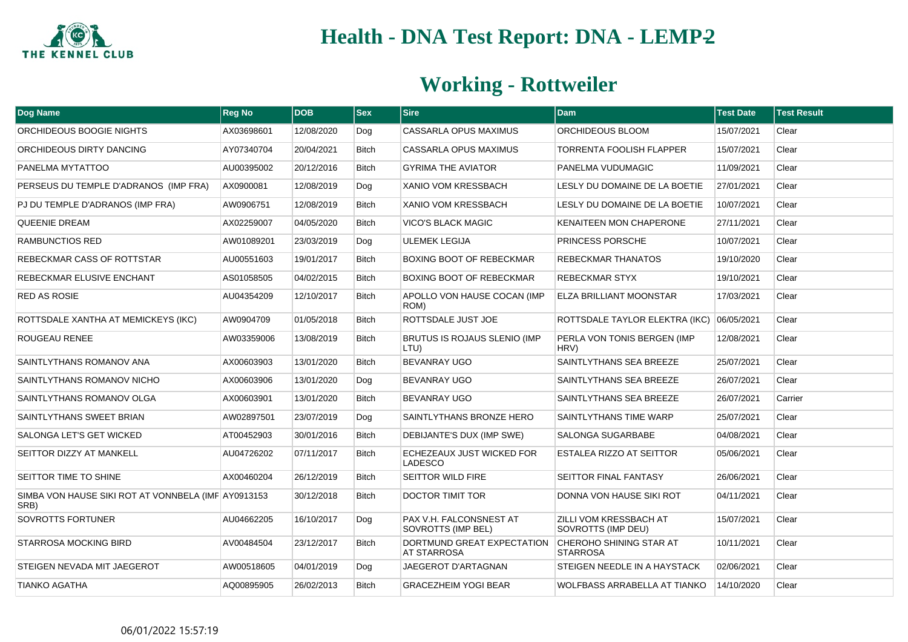

| Dog Name                                                    | <b>Reg No</b> | <b>DOB</b> | <b>Sex</b>   | <b>Sire</b>                                          | <b>Dam</b>                                   | <b>Test Date</b> | <b>Test Result</b> |
|-------------------------------------------------------------|---------------|------------|--------------|------------------------------------------------------|----------------------------------------------|------------------|--------------------|
| ORCHIDEOUS BOOGIE NIGHTS                                    | AX03698601    | 12/08/2020 | Dog          | <b>CASSARLA OPUS MAXIMUS</b>                         | ORCHIDEOUS BLOOM                             | 15/07/2021       | Clear              |
| ORCHIDEOUS DIRTY DANCING                                    | AY07340704    | 20/04/2021 | <b>Bitch</b> | CASSARLA OPUS MAXIMUS                                | <b>TORRENTA FOOLISH FLAPPER</b>              | 15/07/2021       | Clear              |
| PANELMA MYTATTOO                                            | AU00395002    | 20/12/2016 | <b>Bitch</b> | <b>GYRIMA THE AVIATOR</b>                            | PANELMA VUDUMAGIC                            | 11/09/2021       | Clear              |
| PERSEUS DU TEMPLE D'ADRANOS (IMP FRA)                       | AX0900081     | 12/08/2019 | Dog          | XANIO VOM KRESSBACH                                  | LESLY DU DOMAINE DE LA BOETIE                | 27/01/2021       | Clear              |
| PJ DU TEMPLE D'ADRANOS (IMP FRA)                            | AW0906751     | 12/08/2019 | <b>Bitch</b> | XANIO VOM KRESSBACH                                  | LESLY DU DOMAINE DE LA BOETIE                | 10/07/2021       | Clear              |
| <b>QUEENIE DREAM</b>                                        | AX02259007    | 04/05/2020 | <b>Bitch</b> | <b>VICO'S BLACK MAGIC</b>                            | <b>KENAITEEN MON CHAPERONE</b>               | 27/11/2021       | Clear              |
| RAMBUNCTIOS RED                                             | AW01089201    | 23/03/2019 | Dog          | <b>ULEMEK LEGIJA</b>                                 | <b>PRINCESS PORSCHE</b>                      | 10/07/2021       | Clear              |
| REBECKMAR CASS OF ROTTSTAR                                  | AU00551603    | 19/01/2017 | <b>Bitch</b> | BOXING BOOT OF REBECKMAR                             | <b>REBECKMAR THANATOS</b>                    | 19/10/2020       | Clear              |
| REBECKMAR ELUSIVE ENCHANT                                   | AS01058505    | 04/02/2015 | <b>Bitch</b> | BOXING BOOT OF REBECKMAR                             | <b>REBECKMAR STYX</b>                        | 19/10/2021       | Clear              |
| <b>RED AS ROSIE</b>                                         | AU04354209    | 12/10/2017 | <b>Bitch</b> | APOLLO VON HAUSE COCAN (IMP<br>ROM)                  | <b>ELZA BRILLIANT MOONSTAR</b>               | 17/03/2021       | Clear              |
| ROTTSDALE XANTHA AT MEMICKEYS (IKC)                         | AW0904709     | 01/05/2018 | <b>Bitch</b> | ROTTSDALE JUST JOE                                   | ROTTSDALE TAYLOR ELEKTRA (IKC)               | 06/05/2021       | Clear              |
| ROUGEAU RENEE                                               | AW03359006    | 13/08/2019 | <b>Bitch</b> | BRUTUS IS ROJAUS SLENIO (IMP<br>LTU)                 | PERLA VON TONIS BERGEN (IMP<br>HRV)          | 12/08/2021       | Clear              |
| SAINTLYTHANS ROMANOV ANA                                    | AX00603903    | 13/01/2020 | <b>Bitch</b> | <b>BEVANRAY UGO</b>                                  | SAINTLYTHANS SEA BREEZE                      | 25/07/2021       | Clear              |
| SAINTLYTHANS ROMANOV NICHO                                  | AX00603906    | 13/01/2020 | Dog          | BEVANRAY UGO                                         | SAINTLYTHANS SEA BREEZE                      | 26/07/2021       | Clear              |
| SAINTLYTHANS ROMANOV OLGA                                   | AX00603901    | 13/01/2020 | <b>Bitch</b> | BEVANRAY UGO                                         | SAINTLYTHANS SEA BREEZE                      | 26/07/2021       | Carrier            |
| SAINTLYTHANS SWEET BRIAN                                    | AW02897501    | 23/07/2019 | Dog          | SAINTLYTHANS BRONZE HERO                             | SAINTLYTHANS TIME WARP                       | 25/07/2021       | Clear              |
| SALONGA LET'S GET WICKED                                    | AT00452903    | 30/01/2016 | <b>Bitch</b> | DEBIJANTE'S DUX (IMP SWE)                            | <b>SALONGA SUGARBABE</b>                     | 04/08/2021       | Clear              |
| SEITTOR DIZZY AT MANKELL                                    | AU04726202    | 07/11/2017 | <b>Bitch</b> | ECHEZEAUX JUST WICKED FOR<br><b>LADESCO</b>          | <b>ESTALEA RIZZO AT SEITTOR</b>              | 05/06/2021       | Clear              |
| SEITTOR TIME TO SHINE                                       | AX00460204    | 26/12/2019 | <b>Bitch</b> | SEITTOR WILD FIRE                                    | <b>SEITTOR FINAL FANTASY</b>                 | 26/06/2021       | Clear              |
| SIMBA VON HAUSE SIKI ROT AT VONNBELA (IMF AY0913153<br>SRB) |               | 30/12/2018 | <b>Bitch</b> | <b>DOCTOR TIMIT TOR</b>                              | DONNA VON HAUSE SIKI ROT                     | 04/11/2021       | Clear              |
| SOVROTTS FORTUNER                                           | AU04662205    | 16/10/2017 | Dog          | PAX V.H. FALCONSNEST AT<br><b>SOVROTTS (IMP BEL)</b> | ZILLI VOM KRESSBACH AT<br>SOVROTTS (IMP DEU) | 15/07/2021       | Clear              |
| <b>STARROSA MOCKING BIRD</b>                                | AV00484504    | 23/12/2017 | <b>Bitch</b> | DORTMUND GREAT EXPECTATION<br><b>AT STARROSA</b>     | CHEROHO SHINING STAR AT<br><b>STARROSA</b>   | 10/11/2021       | Clear              |
| STEIGEN NEVADA MIT JAEGEROT                                 | AW00518605    | 04/01/2019 | Dog          | JAEGEROT D'ARTAGNAN                                  | STEIGEN NEEDLE IN A HAYSTACK                 | 02/06/2021       | Clear              |
| <b>TIANKO AGATHA</b>                                        | AQ00895905    | 26/02/2013 | <b>Bitch</b> | <b>GRACEZHEIM YOGI BEAR</b>                          | <b>WOLFBASS ARRABELLA AT TIANKO</b>          | 14/10/2020       | Clear              |